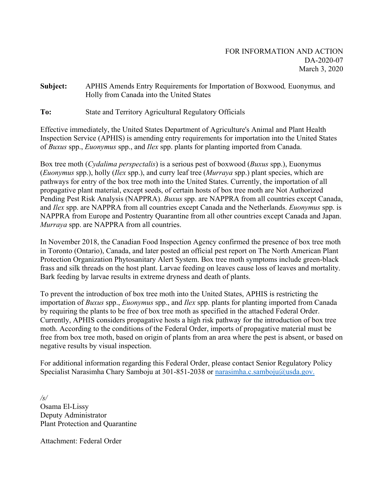**Subject:** APHIS Amends Entry Requirements for Importation of Boxwood*,* Euonymus*,* and Holly from Canada into the United States

**To:** State and Territory Agricultural Regulatory Officials

Effective immediately, the United States Department of Agriculture's Animal and Plant Health Inspection Service (APHIS) is amending entry requirements for importation into the United States of *Buxus* spp., *Euonymus* spp., and *Ilex* spp. plants for planting imported from Canada.

Box tree moth (*Cydalima perspectalis*) is a serious pest of boxwood (*Buxus* spp.), Euonymus (*Euonymus* spp.), holly (*Ilex* spp.), and curry leaf tree (*Murraya* spp.) plant species, which are pathways for entry of the box tree moth into the United States. Currently, the importation of all propagative plant material, except seeds, of certain hosts of box tree moth are Not Authorized Pending Pest Risk Analysis (NAPPRA). *Buxus* spp. are NAPPRA from all countries except Canada, and *Ilex* spp. are NAPPRA from all countries except Canada and the Netherlands. *Euonymus* spp. is NAPPRA from Europe and Postentry Quarantine from all other countries except Canada and Japan. *Murraya* spp. are NAPPRA from all countries.

In November 2018, the Canadian Food Inspection Agency confirmed the presence of box tree moth in Toronto (Ontario), Canada, and later posted an official pest report on The North American Plant Protection Organization Phytosanitary Alert System. Box tree moth symptoms include green-black frass and silk threads on the host plant. Larvae feeding on leaves cause loss of leaves and mortality. Bark feeding by larvae results in extreme dryness and death of plants.

To prevent the introduction of box tree moth into the United States, APHIS is restricting the importation of *Buxus* spp., *Euonymus* spp., and *Ilex* spp. plants for planting imported from Canada by requiring the plants to be free of box tree moth as specified in the attached Federal Order. Currently, APHIS considers propagative hosts a high risk pathway for the introduction of box tree moth. According to the conditions of the Federal Order, imports of propagative material must be free from box tree moth, based on origin of plants from an area where the pest is absent, or based on negative results by visual inspection.

For additional information regarding this Federal Order, please contact Senior Regulatory Policy Specialist Narasimha Chary Samboju at 301-851-2038 or [narasimha.c.samboju@usda.gov.](mailto:narasimha.c.samboju@usda.gov.)

*/s/* Osama El-Lissy Deputy Administrator Plant Protection and Quarantine

Attachment: Federal Order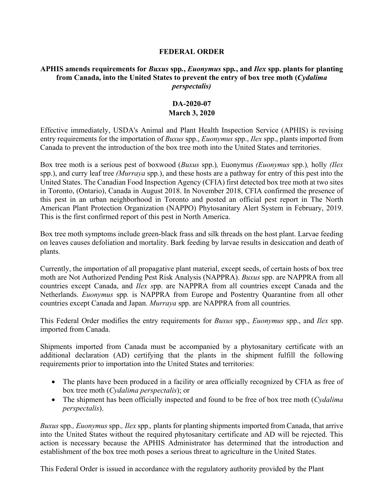## **FEDERAL ORDER**

## **APHIS amends requirements for** *Buxus* **spp***.***,** *Euonymus* **spp***.***, and** *Ilex* **spp. plants for planting from Canada, into the United States to prevent the entry of box tree moth (***Cydalima perspectalis)*

## **DA-2020-07 March 3, 2020**

Effective immediately, USDA's Animal and Plant Health Inspection Service (APHIS) is revising entry requirements for the importation of *Buxus* spp., *Euonymus* spp., *Ilex* spp., plants imported from Canada to prevent the introduction of the box tree moth into the United States and territories.

Box tree moth is a serious pest of boxwood (*Buxus* spp.)*,* Euonymus *(Euonymus* spp.)*,* holly *(Ilex* spp.), and curry leaf tree *(Murraya* spp.), and these hosts are a pathway for entry of this pest into the United States. The Canadian Food Inspection Agency (CFIA) first detected box tree moth at two sites in Toronto, (Ontario), Canada in August 2018. In November 2018, CFIA confirmed the presence of this pest in an urban neighborhood in Toronto and posted an official pest report in The North American Plant Protection Organization (NAPPO) Phytosanitary Alert System in February, 2019. This is the first confirmed report of this pest in North America.

Box tree moth symptoms include green-black frass and silk threads on the host plant. Larvae feeding on leaves causes defoliation and mortality. Bark feeding by larvae results in desiccation and death of plants.

Currently, the importation of all propagative plant material, except seeds, of certain hosts of box tree moth are Not Authorized Pending Pest Risk Analysis (NAPPRA). *Buxus* spp. are NAPPRA from all countries except Canada, and *Ilex s*pp. are NAPPRA from all countries except Canada and the Netherlands. *Euonymus* spp*.* is NAPPRA from Europe and Postentry Quarantine from all other countries except Canada and Japan. *Murraya* spp. are NAPPRA from all countries.

This Federal Order modifies the entry requirements for *Buxus* spp., *Euonymus* spp., and *Ilex* spp. imported from Canada.

Shipments imported from Canada must be accompanied by a phytosanitary certificate with an additional declaration (AD) certifying that the plants in the shipment fulfill the following requirements prior to importation into the United States and territories:

- The plants have been produced in a facility or area officially recognized by CFIA as free of box tree moth (*Cydalima perspectalis*); or
- The shipment has been officially inspected and found to be free of box tree moth (*Cydalima perspectalis*).

*Buxus* spp.*, Euonymus* spp.*, Ilex* spp.*,* plants for planting shipments imported from Canada, that arrive into the United States without the required phytosanitary certificate and AD will be rejected. This action is necessary because the APHIS Administrator has determined that the introduction and establishment of the box tree moth poses a serious threat to agriculture in the United States.

This Federal Order is issued in accordance with the regulatory authority provided by the Plant